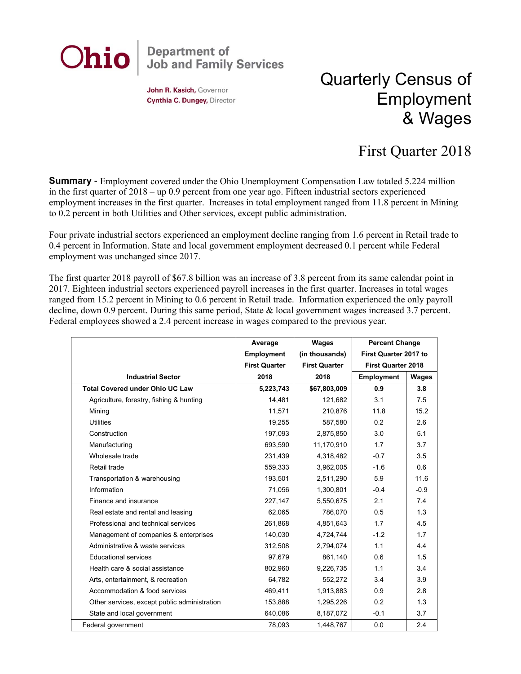

John R. Kasich, Governor Cynthia C. Dungey, Director

## Quarterly Census of Employment & Wages

## First Quarter 2018

**Summary** - Employment covered under the Ohio Unemployment Compensation Law totaled 5.224 million in the first quarter of 2018 – up 0.9 percent from one year ago. Fifteen industrial sectors experienced employment increases in the first quarter. Increases in total employment ranged from 11.8 percent in Mining to 0.2 percent in both Utilities and Other services, except public administration.

Four private industrial sectors experienced an employment decline ranging from 1.6 percent in Retail trade to 0.4 percent in Information. State and local government employment decreased 0.1 percent while Federal employment was unchanged since 2017.

The first quarter 2018 payroll of \$67.8 billion was an increase of 3.8 percent from its same calendar point in 2017. Eighteen industrial sectors experienced payroll increases in the first quarter. Increases in total wages ranged from 15.2 percent in Mining to 0.6 percent in Retail trade. Information experienced the only payroll decline, down 0.9 percent. During this same period, State & local government wages increased 3.7 percent. Federal employees showed a 2.4 percent increase in wages compared to the previous year.

|                                              | Average              | Wages                | <b>Percent Change</b>     |        |
|----------------------------------------------|----------------------|----------------------|---------------------------|--------|
|                                              | <b>Employment</b>    | (in thousands)       | First Quarter 2017 to     |        |
|                                              | <b>First Quarter</b> | <b>First Quarter</b> | <b>First Quarter 2018</b> |        |
| <b>Industrial Sector</b>                     | 2018                 | 2018                 | <b>Employment</b>         | Wages  |
| <b>Total Covered under Ohio UC Law</b>       | 5,223,743            | \$67,803,009         | 0.9                       | 3.8    |
| Agriculture, forestry, fishing & hunting     | 14,481               | 121,682              | 3.1                       | 7.5    |
| Mining                                       | 11,571               | 210,876              | 11.8                      | 15.2   |
| <b>Utilities</b>                             | 19,255               | 587,580              | 0.2                       | 2.6    |
| Construction                                 | 197,093              | 2,875,850            | 3.0                       | 5.1    |
| Manufacturing                                | 693.590              | 11,170,910           | 1.7                       | 3.7    |
| Wholesale trade                              | 231,439              | 4,318,482            | $-0.7$                    | 3.5    |
| Retail trade                                 | 559,333              | 3,962,005            | $-1.6$                    | 0.6    |
| Transportation & warehousing                 | 193,501              | 2,511,290            | 5.9                       | 11.6   |
| Information                                  | 71,056               | 1,300,801            | $-0.4$                    | $-0.9$ |
| Finance and insurance                        | 227,147              | 5,550,675            | 2.1                       | 7.4    |
| Real estate and rental and leasing           | 62,065               | 786,070              | 0.5                       | 1.3    |
| Professional and technical services          | 261,868              | 4,851,643            | 1.7                       | 4.5    |
| Management of companies & enterprises        | 140.030              | 4,724,744            | $-1.2$                    | 1.7    |
| Administrative & waste services              | 312,508              | 2,794,074            | 1.1                       | 4.4    |
| <b>Educational services</b>                  | 97,679               | 861,140              | 0.6                       | 1.5    |
| Health care & social assistance              | 802,960              | 9,226,735            | 1.1                       | 3.4    |
| Arts, entertainment, & recreation            | 64,782               | 552,272              | 3.4                       | 3.9    |
| Accommodation & food services                | 469,411              | 1,913,883            | 0.9                       | 2.8    |
| Other services, except public administration | 153,888              | 1,295,226            | 0.2                       | 1.3    |
| State and local government                   | 640,086              | 8,187,072            | $-0.1$                    | 3.7    |
| Federal government                           | 78,093               | 1,448,767            | 0.0                       | 2.4    |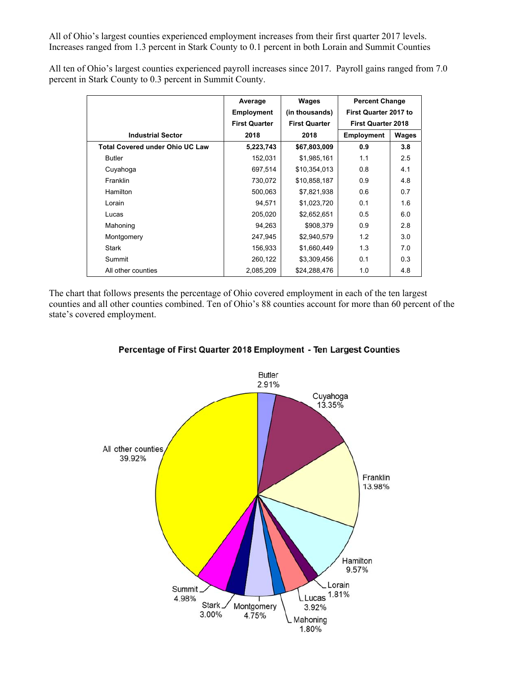All of Ohio's largest counties experienced employment increases from their first quarter 2017 levels. Increases ranged from 1.3 percent in Stark County to 0.1 percent in both Lorain and Summit Counties

All ten of Ohio's largest counties experienced payroll increases since 2017. Payroll gains ranged from 7.0 percent in Stark County to 0.3 percent in Summit County.

|                                        | Average              | Wages                | <b>Percent Change</b>        |              |
|----------------------------------------|----------------------|----------------------|------------------------------|--------------|
|                                        | <b>Employment</b>    | (in thousands)       | <b>First Quarter 2017 to</b> |              |
|                                        | <b>First Quarter</b> | <b>First Quarter</b> | <b>First Quarter 2018</b>    |              |
| <b>Industrial Sector</b>               | 2018                 | 2018                 | Employment                   | <b>Wages</b> |
| <b>Total Covered under Ohio UC Law</b> | 5,223,743            | \$67,803,009         | 0.9                          | 3.8          |
| <b>Butler</b>                          | 152,031              | \$1,985,161          | 1.1                          | 2.5          |
| Cuyahoga                               | 697,514              | \$10,354,013         | 0.8                          | 4.1          |
| Franklin                               | 730,072              | \$10,858,187         | 0.9                          | 4.8          |
| Hamilton                               | 500,063              | \$7,821,938          | 0.6                          | 0.7          |
| Lorain                                 | 94,571               | \$1,023,720          | 0.1                          | 1.6          |
| Lucas                                  | 205,020              | \$2,652,651          | 0.5                          | 6.0          |
| Mahoning                               | 94,263               | \$908,379            | 0.9                          | 2.8          |
| Montgomery                             | 247,945              | \$2,940,579          | 1.2                          | 3.0          |
| <b>Stark</b>                           | 156,933              | \$1,660,449          | 1.3                          | 7.0          |
| Summit                                 | 260,122              | \$3,309,456          | 0.1                          | 0.3          |
| All other counties                     | 2,085,209            | \$24,288,476         | 1.0                          | 4.8          |

The chart that follows presents the percentage of Ohio covered employment in each of the ten largest counties and all other counties combined. Ten of Ohio's 88 counties account for more than 60 percent of the state's covered employment.



## Percentage of First Quarter 2018 Employment - Ten Largest Counties